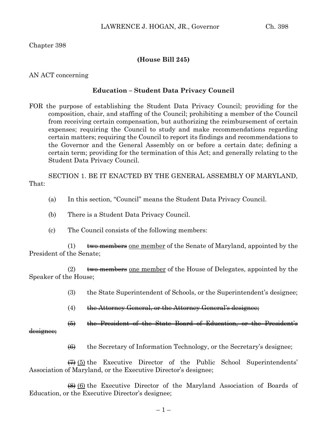Chapter 398

## **(House Bill 245)**

### AN ACT concerning

#### **Education – Student Data Privacy Council**

FOR the purpose of establishing the Student Data Privacy Council; providing for the composition, chair, and staffing of the Council; prohibiting a member of the Council from receiving certain compensation, but authorizing the reimbursement of certain expenses; requiring the Council to study and make recommendations regarding certain matters; requiring the Council to report its findings and recommendations to the Governor and the General Assembly on or before a certain date; defining a certain term; providing for the termination of this Act; and generally relating to the Student Data Privacy Council.

SECTION 1. BE IT ENACTED BY THE GENERAL ASSEMBLY OF MARYLAND, That:

- (a) In this section, "Council" means the Student Data Privacy Council.
- (b) There is a Student Data Privacy Council.
- (c) The Council consists of the following members:

 $(1)$  two members one member of the Senate of Maryland, appointed by the President of the Senate;

(2)  $\qquad$  two members one member of the House of Delegates, appointed by the Speaker of the House;

- (3) the State Superintendent of Schools, or the Superintendent's designee;
- $(4)$  the Attorney General, or the Attorney General's designee;

(5) the President of the State Board of Education, or the President's

designee;

 $\left(\frac{6}{6}\right)$  the Secretary of Information Technology, or the Secretary's designee;

 $\overline{(7)}$  (5) the Executive Director of the Public School Superintendents' Association of Maryland, or the Executive Director's designee;

(8) (6) the Executive Director of the Maryland Association of Boards of Education, or the Executive Director's designee;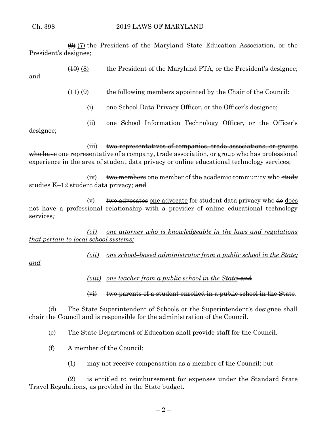$\leftrightarrow$  (7) the President of the Maryland State Education Association, or the President's designee;

 $(10)(8)$  the President of the Maryland PTA, or the President's designee;

and

 $(41)(9)$  the following members appointed by the Chair of the Council:

- (i) one School Data Privacy Officer, or the Officer's designee;
- (ii) one School Information Technology Officer, or the Officer's

designee;

(iii) two representatives of companies, trade associations, or groups who have one representative of a company, trade association, or group who has professional experience in the area of student data privacy or online educational technology services;

(iv)  $\theta$  two members one member of the academic community who study studies  $K-12$  student data privacy; and

(v)  $\theta$  two advocates one advocate for student data privacy who  $\theta$  does not have a professional relationship with a provider of online educational technology services*;*

*(vi) one attorney who is knowledgeable in the laws and regulations that pertain to local school systems;* 

*(vii) one school–based administrator from a public school in the State;* 

*and* 

*(viii)* one teacher from a public school in the State<del>; and</del>

(vi) two parents of a student enrolled in a public school in the State.

(d) The State Superintendent of Schools or the Superintendent's designee shall chair the Council and is responsible for the administration of the Council.

(e) The State Department of Education shall provide staff for the Council.

(f) A member of the Council:

(1) may not receive compensation as a member of the Council; but

(2) is entitled to reimbursement for expenses under the Standard State Travel Regulations, as provided in the State budget.